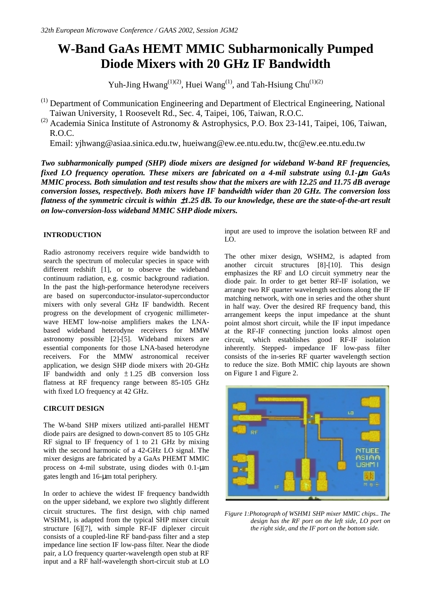# **W-Band GaAs HEMT MMIC Subharmonically Pumped Diode Mixers with 20 GHz IF Bandwidth**

Yuh-Jing Hwang<sup>(1)(2)</sup>, Huei Wang<sup>(1)</sup>, and Tah-Hsiung Chu<sup>(1)(2)</sup>

(1) Department of Communication Engineering and Department of Electrical Engineering, National Taiwan University, 1 Roosevelt Rd., Sec. 4, Taipei, 106, Taiwan, R.O.C.

<sup>(2)</sup> Academia Sinica Institute of Astronomy & Astrophysics, P.O. Box 23-141, Taipei, 106, Taiwan, R.O.C.

Email: yjhwang@asiaa.sinica.edu.tw, hueiwang@ew.ee.ntu.edu.tw, thc@ew.ee.ntu.edu.tw

*Two subharmonically pumped (SHP) diode mixers are designed for wideband W-band RF frequencies, fixed LO frequency operation. These mixers are fabricated on a 4-mil substrate using 0.1-*µ*m GaAs MMIC process. Both simulation and test results show that the mixers are with 12.25 and 11.75 dB average conversion losses, respectively. Both mixers have IF bandwidth wider than 20 GHz. The conversion loss flatness of the symmetric circuit is within* ±*1.25 dB. To our knowledge, these are the state-of-the-art result on low-conversion-loss wideband MMIC SHP diode mixers.* 

# **INTRODUCTION**

Radio astronomy receivers require wide bandwidth to search the spectrum of molecular species in space with different redshift [1], or to observe the wideband continuum radiation, e.g. cosmic background radiation. In the past the high-performance heterodyne receivers are based on superconductor-insulator-superconductor mixers with only several GHz IF bandwidth. Recent progress on the development of cryogenic millimeterwave HEMT low-noise amplifiers makes the LNAbased wideband heterodyne receivers for MMW astronomy possible [2]-[5]. Wideband mixers are essential components for those LNA-based heterodyne receivers. For the MMW astronomical receiver application, we design SHP diode mixers with 20-GHz IF bandwidth and only  $\pm 1.25$  dB conversion loss flatness at RF frequency range between 85-105 GHz with fixed LO frequency at 42 GHz.

# **CIRCUIT DESIGN**

The W-band SHP mixers utilized anti-parallel HEMT diode pairs are designed to down-convert 85 to 105 GHz RF signal to IF frequency of 1 to 21 GHz by mixing with the second harmonic of a 42-GHz LO signal. The mixer designs are fabricated by a GaAs PHEMT MMIC process on 4-mil substrate, using diodes with 0.1-µm gates length and 16-µm total periphery.

In order to achieve the widest IF frequency bandwidth on the upper sideband, we explore two slightly different circuit structures. The first design, with chip named WSHM1, is adapted from the typical SHP mixer circuit structure [6][7], with simple RF-IF diplexer circuit consists of a coupled-line RF band-pass filter and a step impedance line section IF low-pass filter. Near the diode pair, a LO frequency quarter-wavelength open stub at RF input and a RF half-wavelength short-circuit stub at LO

input are used to improve the isolation between RF and LO.

The other mixer design, WSHM2, is adapted from another circuit structures [8]-[10]. This design emphasizes the RF and LO circuit symmetry near the diode pair. In order to get better RF-IF isolation, we arrange two RF quarter wavelength sections along the IF matching network, with one in series and the other shunt in half way. Over the desired RF frequency band, this arrangement keeps the input impedance at the shunt point almost short circuit, while the IF input impedance at the RF-IF connecting junction looks almost open circuit, which establishes good RF-IF isolation inherently. Stepped- impedance IF low-pass filter consists of the in-series RF quarter wavelength section to reduce the size. Both MMIC chip layouts are shown on Figure 1 and Figure 2.



*Figure 1:Photograph of WSHM1 SHP mixer MMIC chips.. The design has the RF port on the left side, LO port on the right side, and the IF port on the bottom side.*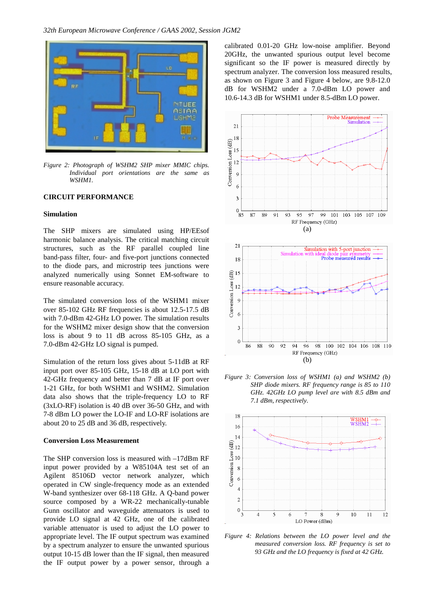

*Figure 2: Photograph of WSHM2 SHP mixer MMIC chips. Individual port orientations are the same as WSHM1.* 

# **CIRCUIT PERFORMANCE**

## **Simulation**

The SHP mixers are simulated using HP/EEsof harmonic balance analysis. The critical matching circuit structures, such as the RF parallel coupled line band-pass filter, four- and five-port junctions connected to the diode pars, and microstrip tees junctions were analyzed numerically using Sonnet EM-software to ensure reasonable accuracy.

The simulated conversion loss of the WSHM1 mixer over 85-102 GHz RF frequencies is about 12.5-17.5 dB with 7.0-dBm 42-GHz LO power. The simulation results for the WSHM2 mixer design show that the conversion loss is about 9 to 11 dB across 85-105 GHz, as a 7.0-dBm 42-GHz LO signal is pumped.

Simulation of the return loss gives about 5-11dB at RF input port over 85-105 GHz, 15-18 dB at LO port with 42-GHz frequency and better than 7 dB at IF port over 1-21 GHz, for both WSHM1 and WSHM2. Simulation data also shows that the triple-frequency LO to RF (3xLO-RF) isolation is 40 dB over 36-50 GHz, and with 7-8 dBm LO power the LO-IF and LO-RF isolations are about 20 to 25 dB and 36 dB, respectively.

#### **Conversion Loss Measurement**

The SHP conversion loss is measured with –17dBm RF input power provided by a W85104A test set of an Agilent 85106D vector network analyzer, which operated in CW single-frequency mode as an extended W-band synthesizer over 68-118 GHz. A Q-band power source composed by a WR-22 mechanically-tunable Gunn oscillator and waveguide attenuators is used to provide LO signal at 42 GHz, one of the calibrated variable attenuator is used to adjust the LO power to appropriate level. The IF output spectrum was examined by a spectrum analyzer to ensure the unwanted spurious output 10-15 dB lower than the IF signal, then measured the IF output power by a power sensor, through a

calibrated 0.01-20 GHz low-noise amplifier. Beyond 20GHz, the unwanted spurious output level become significant so the IF power is measured directly by spectrum analyzer. The conversion loss measured results, as shown on Figure 3 and Figure 4 below, are 9.8-12.0 dB for WSHM2 under a 7.0-dBm LO power and 10.6-14.3 dB for WSHM1 under 8.5-dBm LO power.





*Figure 3: Conversion loss of WSHM1 (a) and WSHM2 (b) SHP diode mixers. RF frequency range is 85 to 110 GHz. 42GHz LO pump level are with 8.5 dBm and 7.1 dBm, respectively.* 



*Figure 4: Relations between the LO power level and the measured conversion loss. RF frequency is set to 93 GHz and the LO frequency is fixed at 42 GHz.*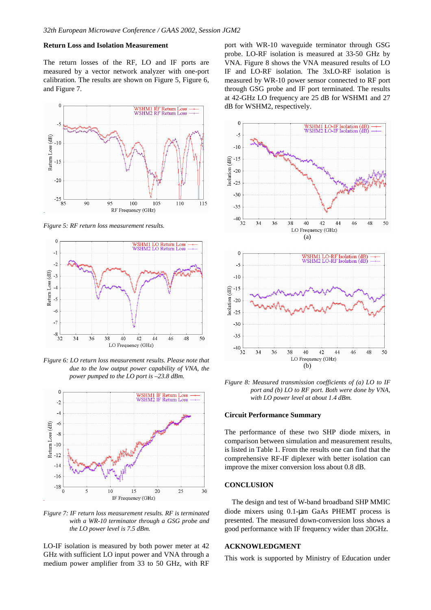# **Return Loss and Isolation Measurement**

The return losses of the RF, LO and IF ports are measured by a vector network analyzer with one-port calibration. The results are shown on Figure 5, Figure 6, and Figure 7.



*Figure 5: RF return loss measurement results.* 



*Figure 6: LO return loss measurement results. Please note that due to the low output power capability of VNA, the power pumped to the LO port is –23.8 dBm.* 



*Figure 7: IF return loss measurement results. RF is terminated with a WR-10 terminator through a GSG probe and the LO power level is 7.5 dBm.* 

LO-IF isolation is measured by both power meter at 42 GHz with sufficient LO input power and VNA through a medium power amplifier from 33 to 50 GHz, with RF port with WR-10 waveguide terminator through GSG probe. LO-RF isolation is measured at 33-50 GHz by VNA. Figure 8 shows the VNA measured results of LO IF and LO-RF isolation. The 3xLO-RF isolation is measured by WR-10 power sensor connected to RF port through GSG probe and IF port terminated. The results at 42-GHz LO frequency are 25 dB for WSHM1 and 27 dB for WSHM2, respectively.



*Figure 8: Measured transmission coefficients of (a) LO to IF port and (b) LO to RF port. Both were done by VNA, with LO power level at about 1.4 dBm.* 

### **Circuit Performance Summary**

The performance of these two SHP diode mixers, in comparison between simulation and measurement results, is listed in Table 1. From the results one can find that the comprehensive RF-IF diplexer with better isolation can improve the mixer conversion loss about 0.8 dB.

## **CONCLUSION**

The design and test of W-band broadband SHP MMIC diode mixers using 0.1-µm GaAs PHEMT process is presented. The measured down-conversion loss shows a good performance with IF frequency wider than 20GHz.

### **ACKNOWLEDGMENT**

This work is supported by Ministry of Education under